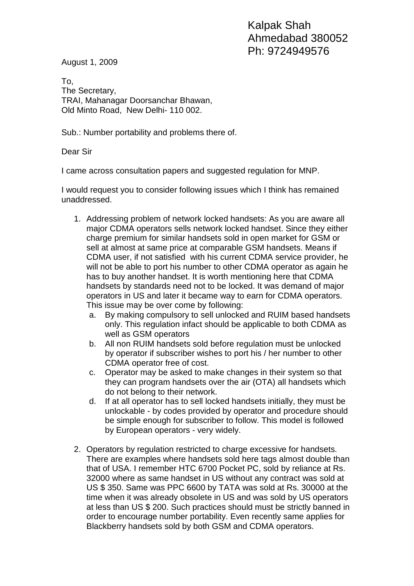August 1, 2009

To, The Secretary, TRAI, Mahanagar Doorsanchar Bhawan, Old Minto Road, New Delhi- 110 002.

Sub.: Number portability and problems there of.

Dear Sir

I came across consultation papers and suggested regulation for MNP.

I would request you to consider following issues which I think has remained unaddressed.

- 1. Addressing problem of network locked handsets: As you are aware all major CDMA operators sells network locked handset. Since they either charge premium for similar handsets sold in open market for GSM or sell at almost at same price at comparable GSM handsets. Means if CDMA user, if not satisfied with his current CDMA service provider, he will not be able to port his number to other CDMA operator as again he has to buy another handset. It is worth mentioning here that CDMA handsets by standards need not to be locked. It was demand of major operators in US and later it became way to earn for CDMA operators. This issue may be over come by following:
	- a. By making compulsory to sell unlocked and RUIM based handsets only. This regulation infact should be applicable to both CDMA as well as GSM operators
	- b. All non RUIM handsets sold before regulation must be unlocked by operator if subscriber wishes to port his / her number to other CDMA operator free of cost.
	- c. Operator may be asked to make changes in their system so that they can program handsets over the air (OTA) all handsets which do not belong to their network.
	- d. If at all operator has to sell locked handsets initially, they must be unlockable - by codes provided by operator and procedure should be simple enough for subscriber to follow. This model is followed by European operators - very widely.
- 2. Operators by regulation restricted to charge excessive for handsets. There are examples where handsets sold here tags almost double than that of USA. I remember HTC 6700 Pocket PC, sold by reliance at Rs. 32000 where as same handset in US without any contract was sold at US \$ 350. Same was PPC 6600 by TATA was sold at Rs. 30000 at the time when it was already obsolete in US and was sold by US operators at less than US \$ 200. Such practices should must be strictly banned in order to encourage number portability. Even recently same applies for Blackberry handsets sold by both GSM and CDMA operators.